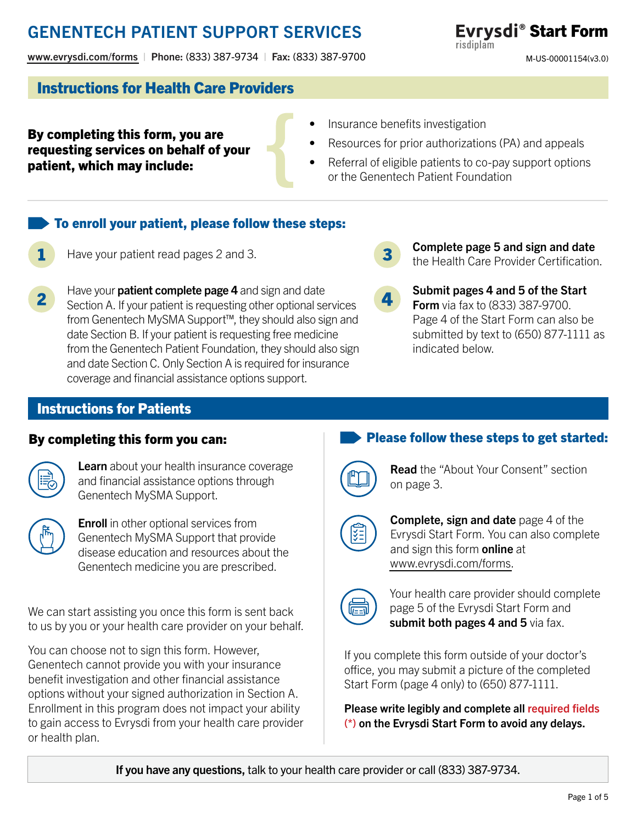[www.evrysdi.com/forms](https://www.genentech-access.com/hcp/brands/evrysdi/forms-and-documents.html?c=ris-173d96c44d9) | Phone: (833) 387-9734 | Fax: (833) 387-9700

### ® Start Form Evrysdi® Start Form risdiplam

M-US-00001154(v3.0) M-US-00001154(v3.0)

### Instructions for Health Care Providers

- By completing this form, you are requesting services on behalf of your patient, which may include:
- Insurance benefits investigation
- Resources for prior authorizations (PA) and appeals
- Referral of eligible patients to co-pay support options or the Genentech Patient Foundation

### To enroll your patient, please follow these steps:

- Have your patient read pages 2 and 3. 1
- Have your **patient complete page 4** and sign and date Section A. If your patient is requesting other optional services from Genentech MySMA Support™, they should also sign and date Section B. If your patient is requesting free medicine from the Genentech Patient Foundation, they should also sign and date Section C. Only Section A is required for insurance coverage and financial assistance options support.
- 3
- Complete page 5 and sign and date the Health Care Provider Certification.
- Submit pages 4 and 5 of the Start **Form** via fax to (833) 387-9700. Page 4 of the Start Form can also be submitted by text to (650) 877-1111 as indicated below.

## Instructions for Patients

#### By completing this form you can:



Learn about your health insurance coverage and financial assistance options through Genentech MySMA Support.



**Enroll** in other optional services from Genentech MySMA Support that provide disease education and resources about the Genentech medicine you are prescribed.

We can start assisting you once this form is sent back to us by you or your health care provider on your behalf.

You can choose not to sign this form. However, Genentech cannot provide you with your insurance benefit investigation and other financial assistance options without your signed authorization in Section A. Enrollment in this program does not impact your ability to gain access to Evrysdi from your health care provider or health plan.

## Please follow these steps to get started:



**Read** the "About Your Consent" section on page 3.

**Complete, sign and date** page 4 of the Evrysdi Start Form. You can also complete and sign this form online at [www.evrysdi.com/forms.](https://www.genentech-access.com/hcp/brands/evrysdi/forms-and-documents.html?c=ris-173d96c44d9)

Your health care provider should complete page 5 of the Evrysdi Start Form and submit both pages 4 and 5 via fax.

If you complete this form outside of your doctor's office, you may submit a picture of the completed Start Form (page 4 only) to (650) 877-1111.

Please write legibly and complete all required fields (\*) on the Evrysdi Start Form to avoid any delays.

If you have any questions, talk to your health care provider or call (833) 387-9734.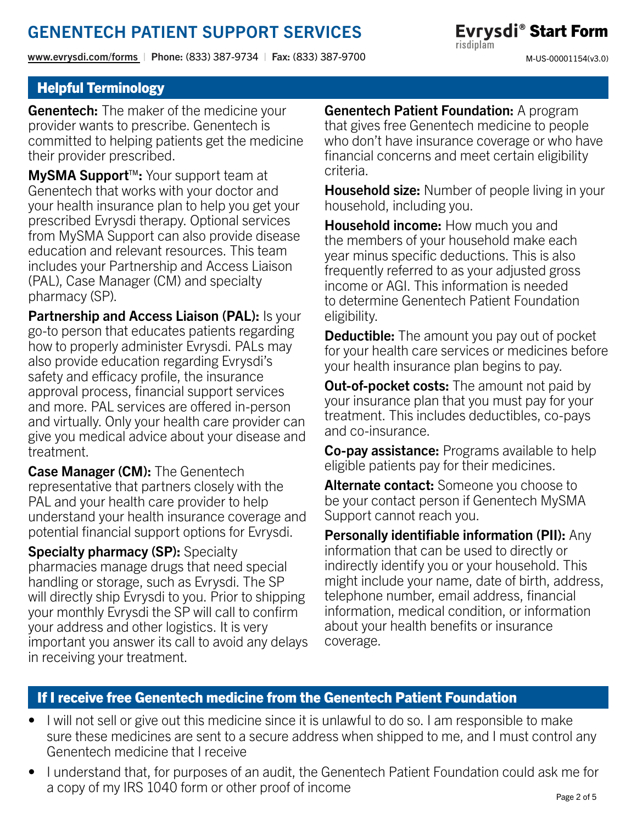[www.evrysdi.com/forms](https://www.genentech-access.com/hcp/brands/evrysdi/forms-and-documents.html?c=ris-173d96c44d9) | Phone: (833) 387-9734 | Fax: (833) 387-9700

Evrysdi<sup>®</sup> Start Form risdiplam M-US-00001154(v3.0)

## Helpful Terminology

**Genentech:** The maker of the medicine your provider wants to prescribe. Genentech is committed to helping patients get the medicine their provider prescribed.

MySMA Support<sup>™</sup>: Your support team at Genentech that works with your doctor and your health insurance plan to help you get your prescribed Evrysdi therapy. Optional services from MySMA Support can also provide disease education and relevant resources. This team includes your Partnership and Access Liaison (PAL), Case Manager (CM) and specialty pharmacy (SP).

Partnership and Access Liaison (PAL): Is your go-to person that educates patients regarding how to properly administer Evrysdi. PALs may also provide education regarding Evrysdi's safety and efficacy profile, the insurance approval process, financial support services and more. PAL services are offered in-person and virtually. Only your health care provider can give you medical advice about your disease and treatment.

Case Manager (CM): The Genentech representative that partners closely with the PAL and your health care provider to help understand your health insurance coverage and potential financial support options for Evrysdi.

Specialty pharmacy (SP): Specialty pharmacies manage drugs that need special handling or storage, such as Evrysdi. The SP will directly ship Evrysdi to you. Prior to shipping your monthly Evrysdi the SP will call to confirm your address and other logistics. It is very important you answer its call to avoid any delays in receiving your treatment.

Genentech Patient Foundation: A program that gives free Genentech medicine to people who don't have insurance coverage or who have financial concerns and meet certain eligibility criteria.

**Household size:** Number of people living in your household, including you.

**Household income:** How much you and the members of your household make each year minus specific deductions. This is also frequently referred to as your adjusted gross income or AGI. This information is needed to determine Genentech Patient Foundation eligibility.

**Deductible:** The amount you pay out of pocket for your health care services or medicines before your health insurance plan begins to pay.

**Out-of-pocket costs:** The amount not paid by your insurance plan that you must pay for your treatment. This includes deductibles, co-pays and co-insurance.

**Co-pay assistance:** Programs available to help eligible patients pay for their medicines.

**Alternate contact:** Someone you choose to be your contact person if Genentech MySMA Support cannot reach you.

Personally identifiable information (PII): Any information that can be used to directly or indirectly identify you or your household. This might include your name, date of birth, address, telephone number, email address, financial information, medical condition, or information about your health benefits or insurance coverage.

## If I receive free Genentech medicine from the Genentech Patient Foundation

- I will not sell or give out this medicine since it is unlawful to do so. I am responsible to make sure these medicines are sent to a secure address when shipped to me, and I must control any Genentech medicine that I receive
- I understand that, for purposes of an audit, the Genentech Patient Foundation could ask me for a copy of my IRS 1040 form or other proof of income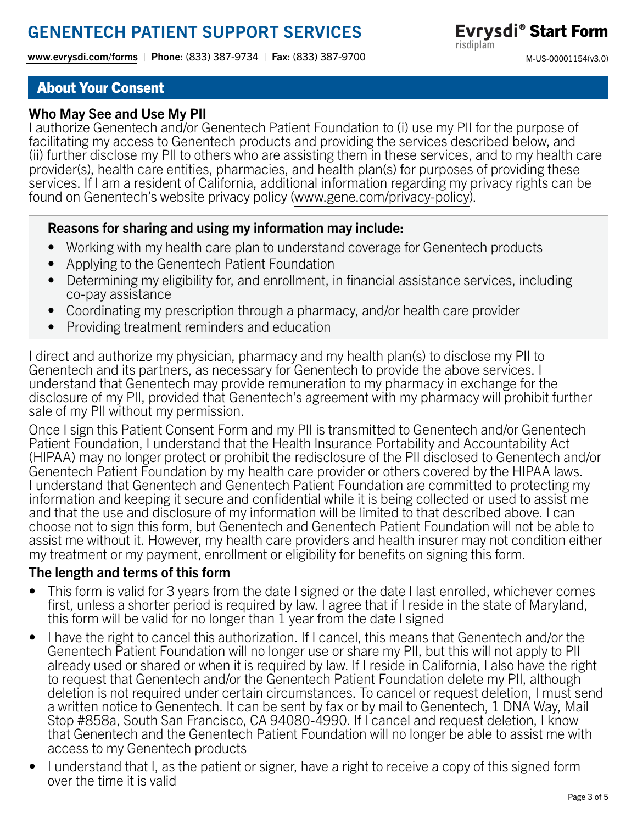[www.evrysdi.com/forms](https://www.genentech-access.com/hcp/brands/evrysdi/forms-and-documents.html?c=ris-173d96c44d9) | Phone: (833) 387-9734 | Fax: (833) 387-9700

Evrysdi<sup>®</sup> Start Form risdiplam M-US-00001154(v3.0)

### About Your Consent

### Who May See and Use My PII

I authorize Genentech and/or Genentech Patient Foundation to (i) use my PII for the purpose of facilitating my access to Genentech products and providing the services described below, and (ii) further disclose my PII to others who are assisting them in these services, and to my health care provider(s), health care entities, pharmacies, and health plan(s) for purposes of providing these services. If I am a resident of California, additional information regarding my privacy rights can be found on Genentech's website privacy policy [\(www.gene.com/privacy-policy\)](https://www.gene.com/privacy-policy).

#### Reasons for sharing and using my information may include:

- Working with my health care plan to understand coverage for Genentech products
- Applying to the Genentech Patient Foundation
- Determining my eligibility for, and enrollment, in financial assistance services, including co-pay assistance
- Coordinating my prescription through a pharmacy, and/or health care provider
- Providing treatment reminders and education

I direct and authorize my physician, pharmacy and my health plan(s) to disclose my PII to Genentech and its partners, as necessary for Genentech to provide the above services. I understand that Genentech may provide remuneration to my pharmacy in exchange for the disclosure of my PII, provided that Genentech's agreement with my pharmacy will prohibit further sale of my PII without my permission.

Once I sign this Patient Consent Form and my PII is transmitted to Genentech and/or Genentech Patient Foundation, I understand that the Health Insurance Portability and Accountability Act (HIPAA) may no longer protect or prohibit the redisclosure of the PII disclosed to Genentech and/or Genentech Patient Foundation by my health care provider or others covered by the HIPAA laws. I understand that Genentech and Genentech Patient Foundation are committed to protecting my information and keeping it secure and confidential while it is being collected or used to assist me and that the use and disclosure of my information will be limited to that described above. I can choose not to sign this form, but Genentech and Genentech Patient Foundation will not be able to assist me without it. However, my health care providers and health insurer may not condition either my treatment or my payment, enrollment or eligibility for benefits on signing this form.

### The length and terms of this form

- This form is valid for 3 years from the date I signed or the date I last enrolled, whichever comes first, unless a shorter period is required by law. I agree that if I reside in the state of Maryland, this form will be valid for no longer than 1 year from the date I signed
- I have the right to cancel this authorization. If I cancel, this means that Genentech and/or the Genentech Patient Foundation will no longer use or share my PII, but this will not apply to PII already used or shared or when it is required by law. If I reside in California, I also have the right to request that Genentech and/or the Genentech Patient Foundation delete my PII, although deletion is not required under certain circumstances. To cancel or request deletion, I must send a written notice to Genentech. It can be sent by fax or by mail to Genentech, 1 DNA Way, Mail Stop #858a, South San Francisco, CA 94080-4990. If I cancel and request deletion, I know that Genentech and the Genentech Patient Foundation will no longer be able to assist me with access to my Genentech products
- I understand that I, as the patient or signer, have a right to receive a copy of this signed form over the time it is valid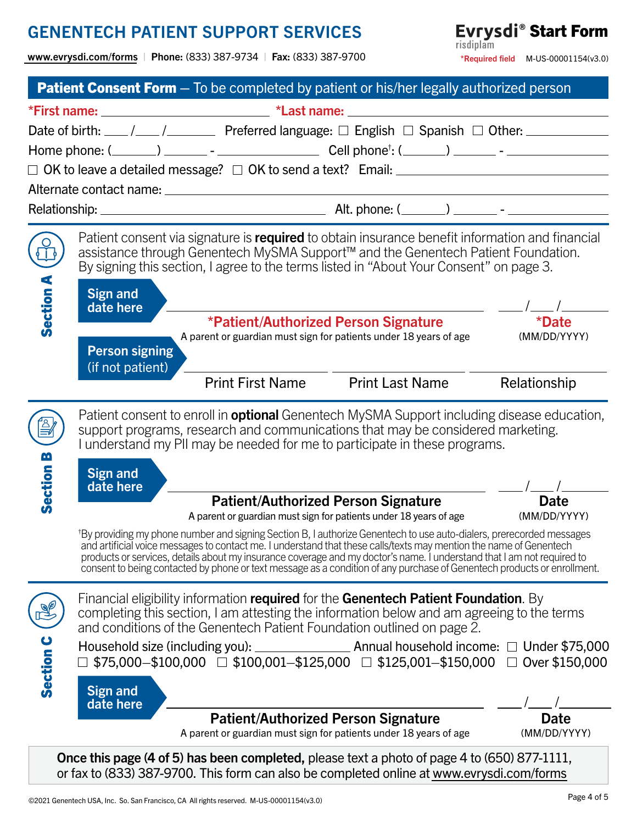[www.evrysdi.com/forms](https://www.genentech-access.com/hcp/brands/evrysdi/forms-and-documents.html?c=ris-173d96c44d9) | Phone: (833) 387-9734 | Fax: (833) 387-9700

Evrysdi<sup>®</sup> Start Form  $*$ Required field M-US-00001154(v3.0)

|           |                                                        | <b>Patient Consent Form</b> – To be completed by patient or his/her legally authorized person                                                                                                                                                                                                                                                                                                                                                                                                               |                        |  |                                     |  |
|-----------|--------------------------------------------------------|-------------------------------------------------------------------------------------------------------------------------------------------------------------------------------------------------------------------------------------------------------------------------------------------------------------------------------------------------------------------------------------------------------------------------------------------------------------------------------------------------------------|------------------------|--|-------------------------------------|--|
|           |                                                        |                                                                                                                                                                                                                                                                                                                                                                                                                                                                                                             |                        |  |                                     |  |
|           |                                                        |                                                                                                                                                                                                                                                                                                                                                                                                                                                                                                             |                        |  |                                     |  |
|           |                                                        |                                                                                                                                                                                                                                                                                                                                                                                                                                                                                                             |                        |  |                                     |  |
|           |                                                        | $\Box$ OK to leave a detailed message? $\Box$ OK to send a text? Email: $\Box$                                                                                                                                                                                                                                                                                                                                                                                                                              |                        |  |                                     |  |
|           |                                                        |                                                                                                                                                                                                                                                                                                                                                                                                                                                                                                             |                        |  |                                     |  |
|           |                                                        |                                                                                                                                                                                                                                                                                                                                                                                                                                                                                                             |                        |  |                                     |  |
|           | <b>Sign and</b>                                        | Patient consent via signature is required to obtain insurance benefit information and financial<br>assistance through Genentech MySMA Support <sup>™</sup> and the Genentech Patient Foundation.<br>By signing this section, I agree to the terms listed in "About Your Consent" on page 3.                                                                                                                                                                                                                 |                        |  | $\vert \mathbf{v} \vert$ /          |  |
| Section A | date here<br><b>Person signing</b><br>(if not patient) | *Patient/Authorized Person Signature<br>A parent or guardian must sign for patients under 18 years of age                                                                                                                                                                                                                                                                                                                                                                                                   |                        |  | <i><b>*Date</b></i><br>(MM/DD/YYYY) |  |
|           |                                                        | <b>Print First Name</b>                                                                                                                                                                                                                                                                                                                                                                                                                                                                                     | <b>Print Last Name</b> |  | Relationship                        |  |
| <u>М</u>  |                                                        | Patient consent to enroll in <b>optional</b> Genentech MySMA Support including disease education,<br>support programs, research and communications that may be considered marketing.<br>I understand my PII may be needed for me to participate in these programs.                                                                                                                                                                                                                                          |                        |  |                                     |  |
|           | <b>Sign and</b>                                        |                                                                                                                                                                                                                                                                                                                                                                                                                                                                                                             |                        |  |                                     |  |
| Section   | date here                                              | <b>Patient/Authorized Person Signature</b><br>A parent or guardian must sign for patients under 18 years of age                                                                                                                                                                                                                                                                                                                                                                                             |                        |  | Date<br>(MM/DD/YYYY)                |  |
|           |                                                        | <sup>†</sup> By providing my phone number and signing Section B, I authorize Genentech to use auto-dialers, prerecorded messages<br>and artificial voice messages to contact me. I understand that these calls/texts may mention the name of Genentech<br>products or services, details about my insurance coverage and my doctor's name. I understand that I am not required to<br>consent to being contacted by phone or text message as a condition of any purchase of Genentech products or enrollment. |                        |  |                                     |  |
|           |                                                        | Financial eligibility information required for the Genentech Patient Foundation. By<br>completing this section, I am attesting the information below and am agreeing to the terms<br>and conditions of the Genentech Patient Foundation outlined on page 2.                                                                                                                                                                                                                                                 |                        |  |                                     |  |
| Section C |                                                        |                                                                                                                                                                                                                                                                                                                                                                                                                                                                                                             |                        |  |                                     |  |
|           | Sign and<br>date here                                  |                                                                                                                                                                                                                                                                                                                                                                                                                                                                                                             |                        |  |                                     |  |
|           |                                                        | <b>Patient/Authorized Person Signature</b><br>A parent or guardian must sign for patients under 18 years of age                                                                                                                                                                                                                                                                                                                                                                                             |                        |  | Date<br>(MM/DD/YYYY)                |  |
|           |                                                        | Once this page (4 of 5) has been completed, please text a photo of page 4 to (650) 877-1111,<br>or fax to (833) 387-9700. This form can also be completed online at www.evrysdi.com/forms                                                                                                                                                                                                                                                                                                                   |                        |  |                                     |  |